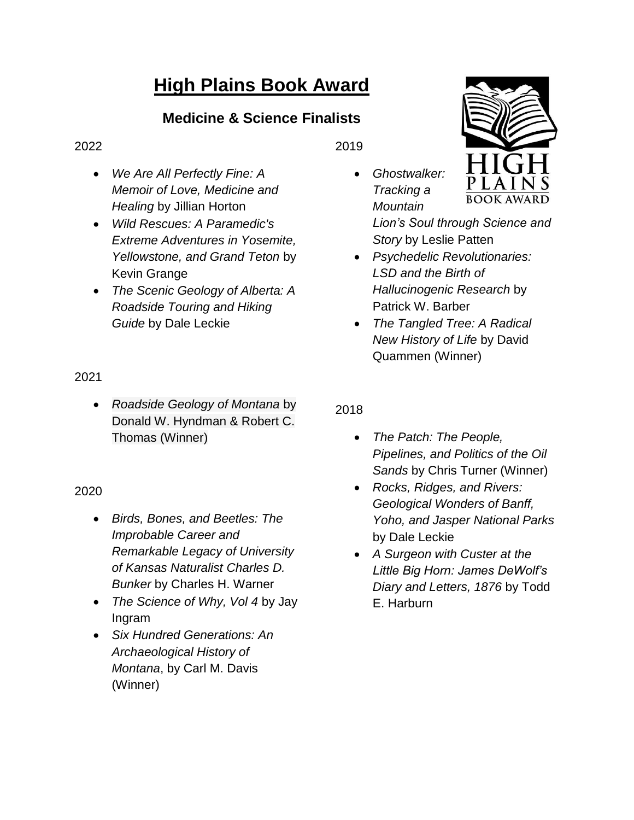# **High Plains Book Award**

# **Medicine & Science Finalists**

#### 2022

- *We Are All Perfectly Fine: A Memoir of Love, Medicine and Healing* by Jillian Horton
- *Wild Rescues: A Paramedic's Extreme Adventures in Yosemite, Yellowstone, and Grand Teton* by Kevin Grange
- *The Scenic Geology of Alberta: A Roadside Touring and Hiking Guide* by Dale Leckie

## 2021

 *Roadside Geology of Montana* by Donald W. Hyndman & Robert C. Thomas (Winner)

## 2020

- *Birds, Bones, and Beetles: The Improbable Career and Remarkable Legacy of University of Kansas Naturalist Charles D. Bunker* by Charles H. Warner
- *The Science of Why, Vol 4* by Jay Ingram
- *Six Hundred Generations: An Archaeological History of Montana*, by Carl M. Davis (Winner)

2019

 *Ghostwalker: Tracking a Mountain* 

*Lion's Soul through Science and Story* by Leslie Patten

- *Psychedelic Revolutionaries: LSD and the Birth of Hallucinogenic Research* by Patrick W. Barber
- *The Tangled Tree: A Radical New History of Life* by David Quammen (Winner)

## 2018

- *The Patch: The People, Pipelines, and Politics of the Oil Sands* by Chris Turner (Winner)
- *Rocks, Ridges, and Rivers: Geological Wonders of Banff, Yoho, and Jasper National Parks* by Dale Leckie
- *A Surgeon with Custer at the Little Big Horn: James DeWolf's Diary and Letters, 1876* by Todd E. Harburn